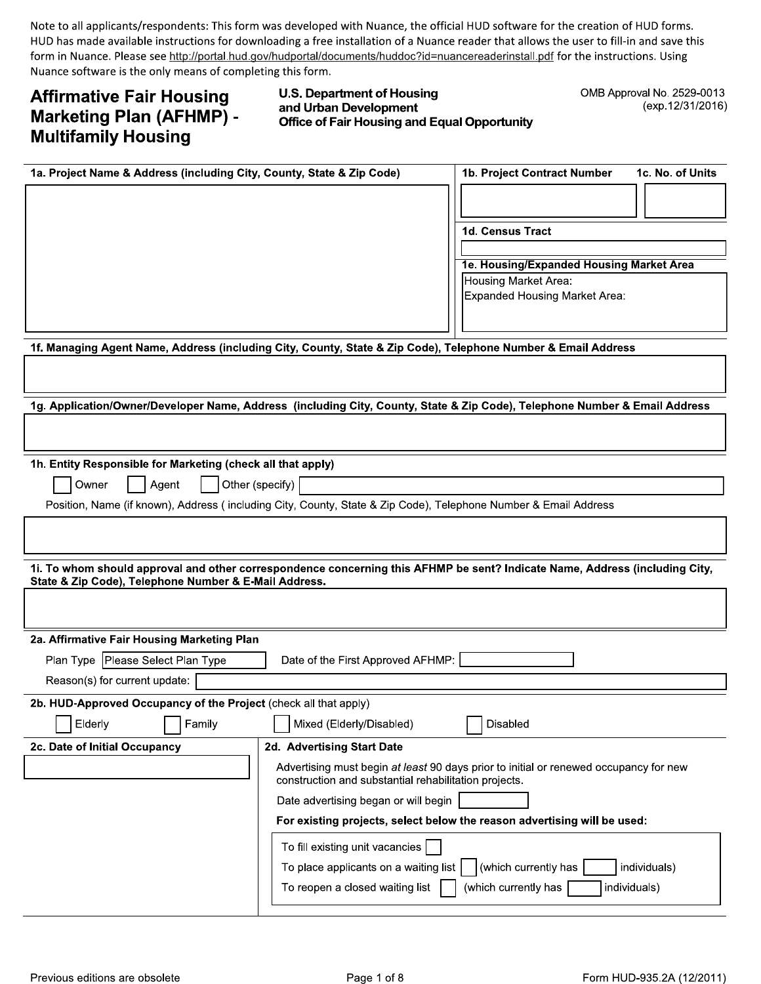Note to all applicants/respondents: This form was developed with Nuance, the official HUD software for the creation of HUD forms. HUD has made available instructions for downloading a free installation of a Nuance reader that allows the user to fill-in and save this form in Nuance. Please see http://portal.hud.gov/hudportal/documents/huddoc?id=nuancereaderinstall.pdf for the instructions. Using Nuance software is the only means of completing this form.

# **Affirmative Fair Housing Marketing Plan (AFHMP) -Multifamily Housing**

# **U.S. Department of Housing** and Urban Development **Office of Fair Housing and Equal Opportunity**

OMB Approval No. 2529-0013 (exp.12/31/2016)

| 1a. Project Name & Address (including City, County, State & Zip Code)                                           |                                                       | 1b. Project Contract Number<br>1c. No. of Units                                                                             |
|-----------------------------------------------------------------------------------------------------------------|-------------------------------------------------------|-----------------------------------------------------------------------------------------------------------------------------|
|                                                                                                                 |                                                       |                                                                                                                             |
|                                                                                                                 |                                                       |                                                                                                                             |
|                                                                                                                 |                                                       | <b>1d. Census Tract</b>                                                                                                     |
|                                                                                                                 |                                                       |                                                                                                                             |
|                                                                                                                 |                                                       | 1e. Housing/Expanded Housing Market Area                                                                                    |
|                                                                                                                 |                                                       | Housing Market Area:<br>Expanded Housing Market Area:                                                                       |
|                                                                                                                 |                                                       |                                                                                                                             |
|                                                                                                                 |                                                       |                                                                                                                             |
| 1f. Managing Agent Name, Address (including City, County, State & Zip Code), Telephone Number & Email Address   |                                                       |                                                                                                                             |
|                                                                                                                 |                                                       |                                                                                                                             |
|                                                                                                                 |                                                       |                                                                                                                             |
|                                                                                                                 |                                                       | 1g. Application/Owner/Developer Name, Address (including City, County, State & Zip Code), Telephone Number & Email Address  |
|                                                                                                                 |                                                       |                                                                                                                             |
| 1h. Entity Responsible for Marketing (check all that apply)                                                     |                                                       |                                                                                                                             |
| Owner<br>Agent                                                                                                  | Other (specify)                                       |                                                                                                                             |
| Position, Name (if known), Address (including City, County, State & Zip Code), Telephone Number & Email Address |                                                       |                                                                                                                             |
|                                                                                                                 |                                                       |                                                                                                                             |
|                                                                                                                 |                                                       |                                                                                                                             |
|                                                                                                                 |                                                       | 1i. To whom should approval and other correspondence concerning this AFHMP be sent? Indicate Name, Address (including City, |
| State & Zip Code), Telephone Number & E-Mail Address.                                                           |                                                       |                                                                                                                             |
|                                                                                                                 |                                                       |                                                                                                                             |
|                                                                                                                 |                                                       |                                                                                                                             |
| 2a. Affirmative Fair Housing Marketing Plan                                                                     |                                                       |                                                                                                                             |
| Plan Type   Please Select Plan Type                                                                             | Date of the First Approved AFHMP:                     |                                                                                                                             |
| Reason(s) for current update:                                                                                   |                                                       |                                                                                                                             |
| 2b. HUD-Approved Occupancy of the Project (check all that apply)                                                |                                                       |                                                                                                                             |
| Elderly<br>Family                                                                                               | Mixed (Elderly/Disabled)                              | Disabled                                                                                                                    |
| 2c. Date of Initial Occupancy                                                                                   | 2d. Advertising Start Date                            |                                                                                                                             |
|                                                                                                                 | construction and substantial rehabilitation projects. | Advertising must begin at least 90 days prior to initial or renewed occupancy for new                                       |
|                                                                                                                 | Date advertising began or will begin                  |                                                                                                                             |
|                                                                                                                 |                                                       | For existing projects, select below the reason advertising will be used:                                                    |
|                                                                                                                 | To fill existing unit vacancies                       |                                                                                                                             |
|                                                                                                                 | To place applicants on a waiting list                 | (which currently has<br>individuals)                                                                                        |
|                                                                                                                 | To reopen a closed waiting list                       | (which currently has<br>individuals)                                                                                        |
|                                                                                                                 |                                                       |                                                                                                                             |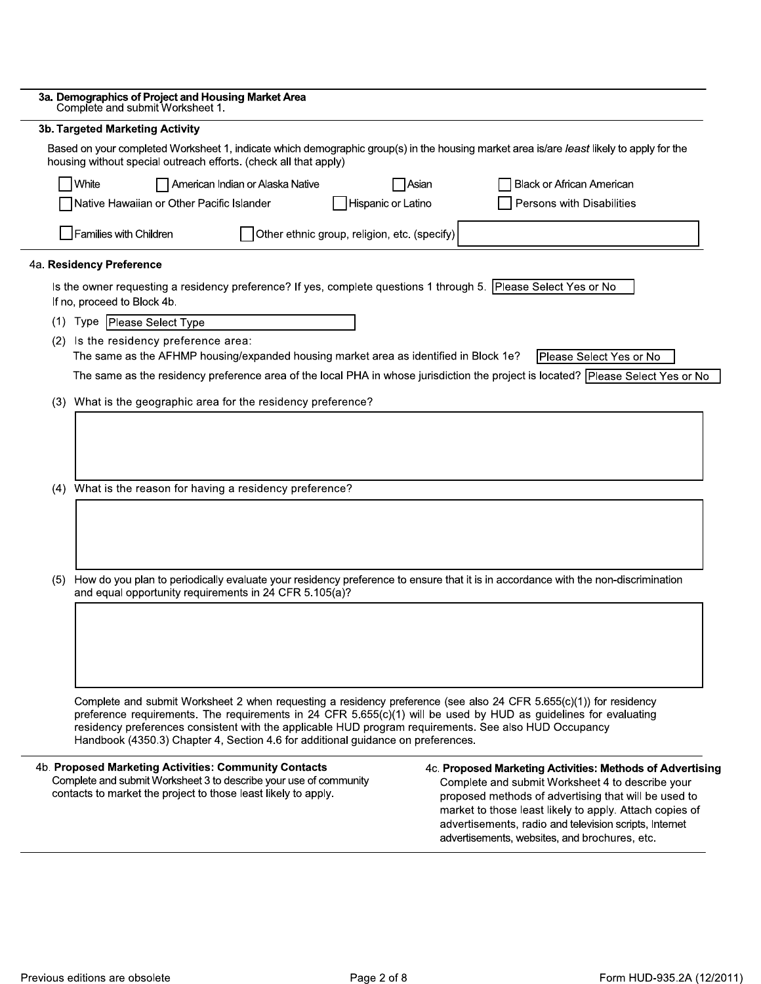| 3a. Demographics of Project and Housing Market Area<br>Complete and submit Worksheet 1.                                                                                                                                                                                                                                                                                                                                             |                                                                                                                                                                                                                                                                                                                                             |  |  |  |  |  |
|-------------------------------------------------------------------------------------------------------------------------------------------------------------------------------------------------------------------------------------------------------------------------------------------------------------------------------------------------------------------------------------------------------------------------------------|---------------------------------------------------------------------------------------------------------------------------------------------------------------------------------------------------------------------------------------------------------------------------------------------------------------------------------------------|--|--|--|--|--|
| <b>3b. Targeted Marketing Activity</b>                                                                                                                                                                                                                                                                                                                                                                                              |                                                                                                                                                                                                                                                                                                                                             |  |  |  |  |  |
| Based on your completed Worksheet 1, indicate which demographic group(s) in the housing market area is/are least likely to apply for the<br>housing without special outreach efforts. (check all that apply)                                                                                                                                                                                                                        |                                                                                                                                                                                                                                                                                                                                             |  |  |  |  |  |
| White<br>American Indian or Alaska Native<br>Asian<br>Black or African American                                                                                                                                                                                                                                                                                                                                                     |                                                                                                                                                                                                                                                                                                                                             |  |  |  |  |  |
| Native Hawaiian or Other Pacific Islander<br>Hispanic or Latino                                                                                                                                                                                                                                                                                                                                                                     | Persons with Disabilities                                                                                                                                                                                                                                                                                                                   |  |  |  |  |  |
| Families with Children<br>Other ethnic group, religion, etc. (specify)                                                                                                                                                                                                                                                                                                                                                              |                                                                                                                                                                                                                                                                                                                                             |  |  |  |  |  |
| 4a. Residency Preference                                                                                                                                                                                                                                                                                                                                                                                                            |                                                                                                                                                                                                                                                                                                                                             |  |  |  |  |  |
| Is the owner requesting a residency preference? If yes, complete questions 1 through 5. Please Select Yes or No<br>If no, proceed to Block 4b.                                                                                                                                                                                                                                                                                      |                                                                                                                                                                                                                                                                                                                                             |  |  |  |  |  |
| (1) Type   Please Select Type                                                                                                                                                                                                                                                                                                                                                                                                       |                                                                                                                                                                                                                                                                                                                                             |  |  |  |  |  |
| (2) Is the residency preference area:<br>The same as the AFHMP housing/expanded housing market area as identified in Block 1e?                                                                                                                                                                                                                                                                                                      | Please Select Yes or No                                                                                                                                                                                                                                                                                                                     |  |  |  |  |  |
| The same as the residency preference area of the local PHA in whose jurisdiction the project is located? Please Select Yes or No                                                                                                                                                                                                                                                                                                    |                                                                                                                                                                                                                                                                                                                                             |  |  |  |  |  |
| (3) What is the geographic area for the residency preference?                                                                                                                                                                                                                                                                                                                                                                       |                                                                                                                                                                                                                                                                                                                                             |  |  |  |  |  |
| (4) What is the reason for having a residency preference?                                                                                                                                                                                                                                                                                                                                                                           |                                                                                                                                                                                                                                                                                                                                             |  |  |  |  |  |
| (5) How do you plan to periodically evaluate your residency preference to ensure that it is in accordance with the non-discrimination<br>and equal opportunity requirements in 24 CFR 5.105(a)?                                                                                                                                                                                                                                     |                                                                                                                                                                                                                                                                                                                                             |  |  |  |  |  |
| Complete and submit Worksheet 2 when requesting a residency preference (see also 24 CFR 5.655(c)(1)) for residency<br>preference requirements. The requirements in 24 CFR 5.655(c)(1) will be used by HUD as guidelines for evaluating<br>residency preferences consistent with the applicable HUD program requirements. See also HUD Occupancy<br>Handbook (4350.3) Chapter 4, Section 4.6 for additional guidance on preferences. |                                                                                                                                                                                                                                                                                                                                             |  |  |  |  |  |
| 4b. Proposed Marketing Activities: Community Contacts<br>Complete and submit Worksheet 3 to describe your use of community<br>contacts to market the project to those least likely to apply.                                                                                                                                                                                                                                        | 4c. Proposed Marketing Activities: Methods of Advertising<br>Complete and submit Worksheet 4 to describe your<br>proposed methods of advertising that will be used to<br>market to those least likely to apply. Attach copies of<br>advertisements, radio and television scripts, Internet<br>advertisements, websites, and brochures, etc. |  |  |  |  |  |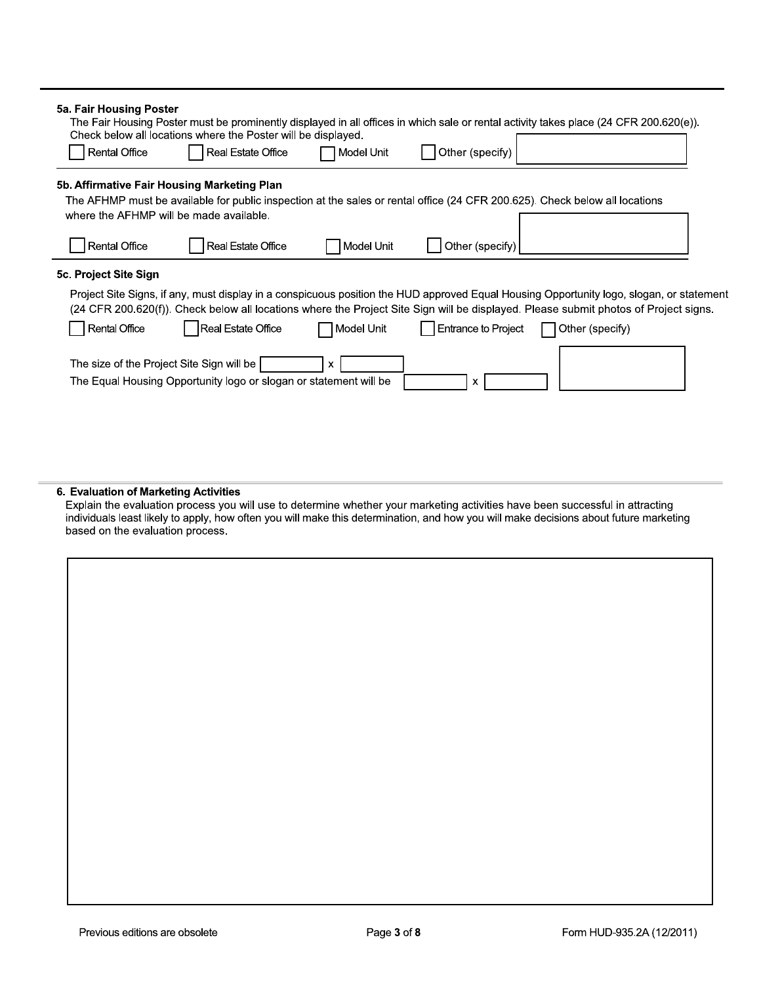| 5a. Fair Housing Poster<br><b>Rental Office</b>                                        | Check below all locations where the Poster will be displayed.<br><b>Real Estate Office</b> | Model Unit          | Other (specify)            | The Fair Housing Poster must be prominently displayed in all offices in which sale or rental activity takes place (24 CFR 200.620(e)).                                                                                                                                           |  |
|----------------------------------------------------------------------------------------|--------------------------------------------------------------------------------------------|---------------------|----------------------------|----------------------------------------------------------------------------------------------------------------------------------------------------------------------------------------------------------------------------------------------------------------------------------|--|
| 5b. Affirmative Fair Housing Marketing Plan<br>where the AFHMP will be made available. |                                                                                            |                     |                            | The AFHMP must be available for public inspection at the sales or rental office (24 CFR 200.625). Check below all locations                                                                                                                                                      |  |
| <b>Rental Office</b>                                                                   | Real Estate Office                                                                         | Model Unit          | Other (specify)            |                                                                                                                                                                                                                                                                                  |  |
| 5c. Project Site Sign                                                                  |                                                                                            |                     |                            | Project Site Signs, if any, must display in a conspicuous position the HUD approved Equal Housing Opportunity logo, slogan, or statement<br>(24 CFR 200.620(f)). Check below all locations where the Project Site Sign will be displayed. Please submit photos of Project signs. |  |
| <b>Rental Office</b>                                                                   | Real Estate Office                                                                         | <b>I</b> Model Unit | <b>Entrance to Project</b> | Other (specify)                                                                                                                                                                                                                                                                  |  |
| The size of the Project Site Sign will be                                              | The Equal Housing Opportunity logo or slogan or statement will be                          |                     | x                          |                                                                                                                                                                                                                                                                                  |  |

6. Evaluation of Marketing Activities<br>Explain the evaluation process you will use to determine whether your marketing activities have been successful in attracting<br>individuals least likely to apply, how often you will make based on the evaluation process.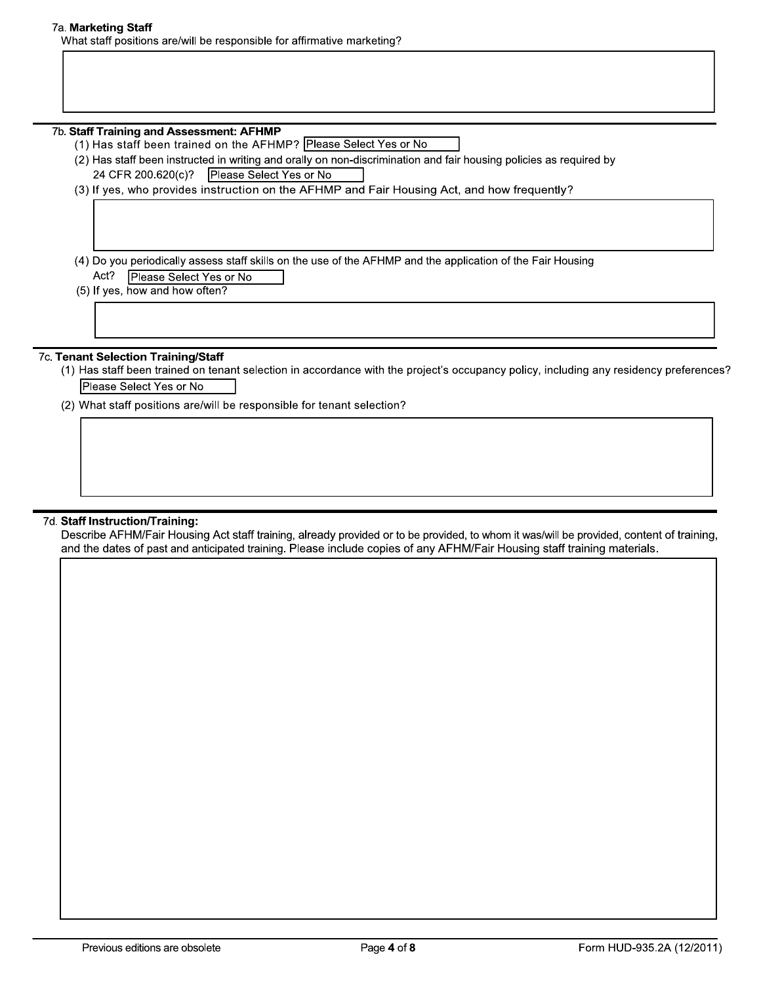#### 7a. Marketing Staff

What staff positions are/will be responsible for affirmative marketing?

#### 7b. Staff Training and Assessment: AFHMP

- (1) Has staff been trained on the AFHMP? Please Select Yes or No
- (2) Has staff been instructed in writing and orally on non-discrimination and fair housing policies as required by 24 CFR 200.620(c)? Please Select Yes or No
- (3) If yes, who provides instruction on the AFHMP and Fair Housing Act, and how frequently?

(4) Do you periodically assess staff skills on the use of the AFHMP and the application of the Fair Housing Act? Please Select Yes or No

(5) If yes, how and how often?

## 7c. Tenant Selection Training/Staff

- (1) Has staff been trained on tenant selection in accordance with the project's occupancy policy, including any residency preferences? Please Select Yes or No
- (2) What staff positions are/will be responsible for tenant selection?

#### 7d. Staff Instruction/Training:

Describe AFHM/Fair Housing Act staff training, already provided or to be provided, to whom it was/will be provided, content of training, and the dates of past and anticipated training. Please include copies of any AFHM/Fair Housing staff training materials.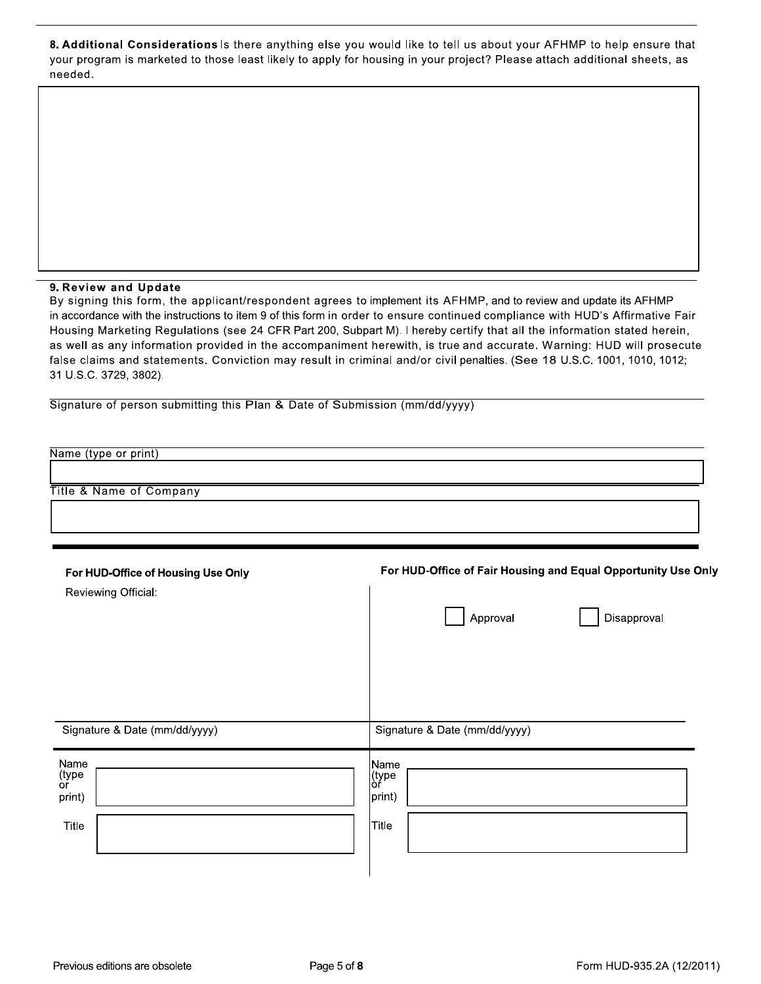8. Additional Considerations Is there anything else you would like to tell us about your AFHMP to help ensure that your program is marketed to those least likely to apply for housing in your project? Please attach additional sheets, as needed.

# 9. Review and Update

By signing this form, the applicant/respondent agrees to implement its AFHMP, and to review and update its AFHMP in accordance with the instructions to item 9 of this form in order to ensure continued compliance with HUD's Affirmative Fair Housing Marketing Regulations (see 24 CFR Part 200, Subpart M). I hereby certify that all the information stated herein, as well as any information provided in the accompaniment herewith, is true and accurate. Warning: HUD will prosecute false claims and statements. Conviction may result in criminal and/or civil penalties. (See 18 U.S.C. 1001, 1010, 1012; 31 U.S.C. 3729, 3802).

Signature of person submitting this Plan & Date of Submission (mm/dd/yyyy)

| Name (type or print)                                      |                                                               |
|-----------------------------------------------------------|---------------------------------------------------------------|
| <b>Title &amp; Name of Company</b>                        |                                                               |
|                                                           |                                                               |
| For HUD-Office of Housing Use Only<br>Reviewing Official: | For HUD-Office of Fair Housing and Equal Opportunity Use Only |
|                                                           | Approval<br>Disapproval                                       |
|                                                           |                                                               |
|                                                           |                                                               |
| Signature & Date (mm/dd/yyyy)                             | Signature & Date (mm/dd/yyyy)                                 |
| Name<br>(type<br>or<br>print)                             | Name<br>(type<br> or<br>print)                                |
| Title                                                     | <b>Title</b>                                                  |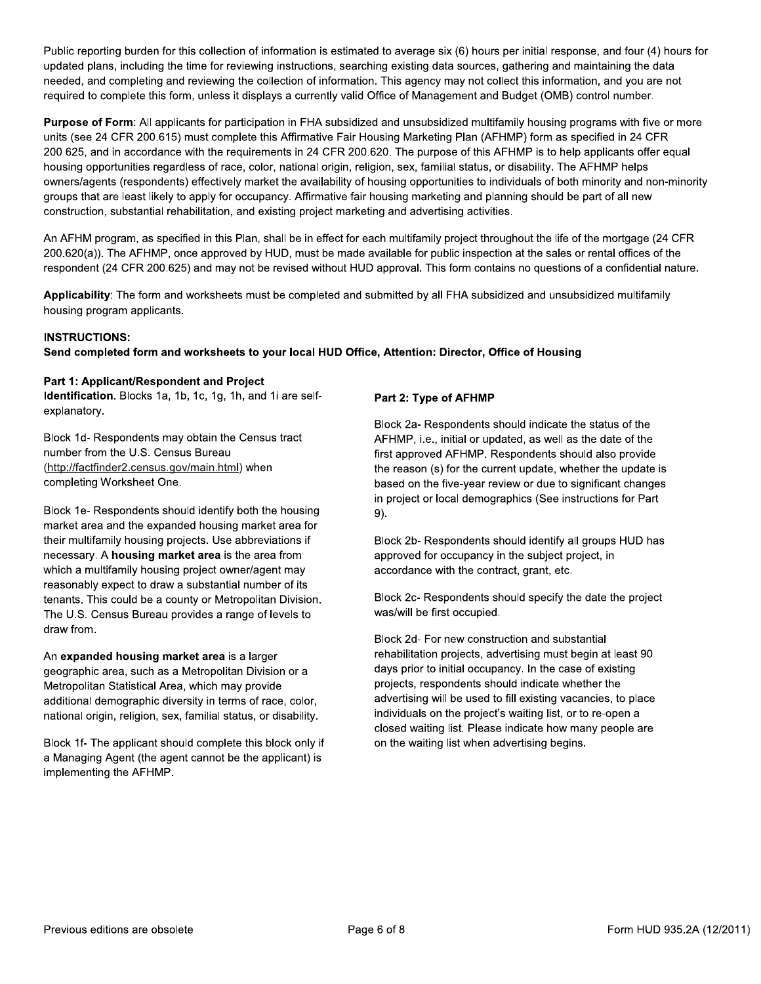Public reporting burden for this collection of information is estimated to average six (6) hours per initial response, and four (4) hours for updated plans, including the time for reviewing instructions, searching existing data sources, gathering and maintaining the data needed, and completing and reviewing the collection of information. This agency may not collect this information, and you are not required to complete this form, unless it displays a currently valid Office of Management and Budget (OMB) control number.

Purpose of Form: All applicants for participation in FHA subsidized and unsubsidized multifamily housing programs with five or more units (see 24 CFR 200.615) must complete this Affirmative Fair Housing Marketing Plan (AFHMP) form as specified in 24 CFR 200.625, and in accordance with the requirements in 24 CFR 200.620. The purpose of this AFHMP is to help applicants offer equal housing opportunities regardless of race, color, national origin, religion, sex, familial status, or disability. The AFHMP helps owners/agents (respondents) effectively market the availability of housing opportunities to individuals of both minority and non-minority groups that are least likely to apply for occupancy. Affirmative fair housing marketing and planning should be part of all new construction, substantial rehabilitation, and existing project marketing and advertising activities.

An AFHM program, as specified in this Plan, shall be in effect for each multifamily project throughout the life of the mortgage (24 CFR 200.620(a)). The AFHMP, once approved by HUD, must be made available for public inspection at the sales or rental offices of the respondent (24 CFR 200.625) and may not be revised without HUD approval. This form contains no questions of a confidential nature.

Applicability: The form and worksheets must be completed and submitted by all FHA subsidized and unsubsidized multifamily housing program applicants.

# **INSTRUCTIONS:**

# Send completed form and worksheets to your local HUD Office, Attention: Director, Office of Housing

#### Part 1: Applicant/Respondent and Project

Identification. Blocks 1a, 1b, 1c, 1g, 1h, and 1i are selfexplanatory.

Block 1d- Respondents may obtain the Census tract number from the U.S. Census Bureau (http://factfinder2.census.gov/main.html) when completing Worksheet One.

Block 1e-Respondents should identify both the housing market area and the expanded housing market area for their multifamily housing projects. Use abbreviations if necessary. A housing market area is the area from which a multifamily housing project owner/agent may reasonably expect to draw a substantial number of its tenants. This could be a county or Metropolitan Division. The U.S. Census Bureau provides a range of levels to draw from.

An expanded housing market area is a larger geographic area, such as a Metropolitan Division or a Metropolitan Statistical Area, which may provide additional demographic diversity in terms of race, color, national origin, religion, sex, familial status, or disability.

Block 1f- The applicant should complete this block only if a Managing Agent (the agent cannot be the applicant) is implementing the AFHMP.

#### Part 2: Type of AFHMP

Block 2a- Respondents should indicate the status of the AFHMP, i.e., initial or updated, as well as the date of the first approved AFHMP. Respondents should also provide the reason (s) for the current update, whether the update is based on the five-year review or due to significant changes in project or local demographics (See instructions for Part  $9).$ 

Block 2b-Respondents should identify all groups HUD has approved for occupancy in the subject project, in accordance with the contract, grant, etc.

Block 2c- Respondents should specify the date the project was/will be first occupied.

Block 2d- For new construction and substantial rehabilitation projects, advertising must begin at least 90 days prior to initial occupancy. In the case of existing projects, respondents should indicate whether the advertising will be used to fill existing vacancies, to place individuals on the project's waiting list, or to re-open a closed waiting list. Please indicate how many people are on the waiting list when advertising begins.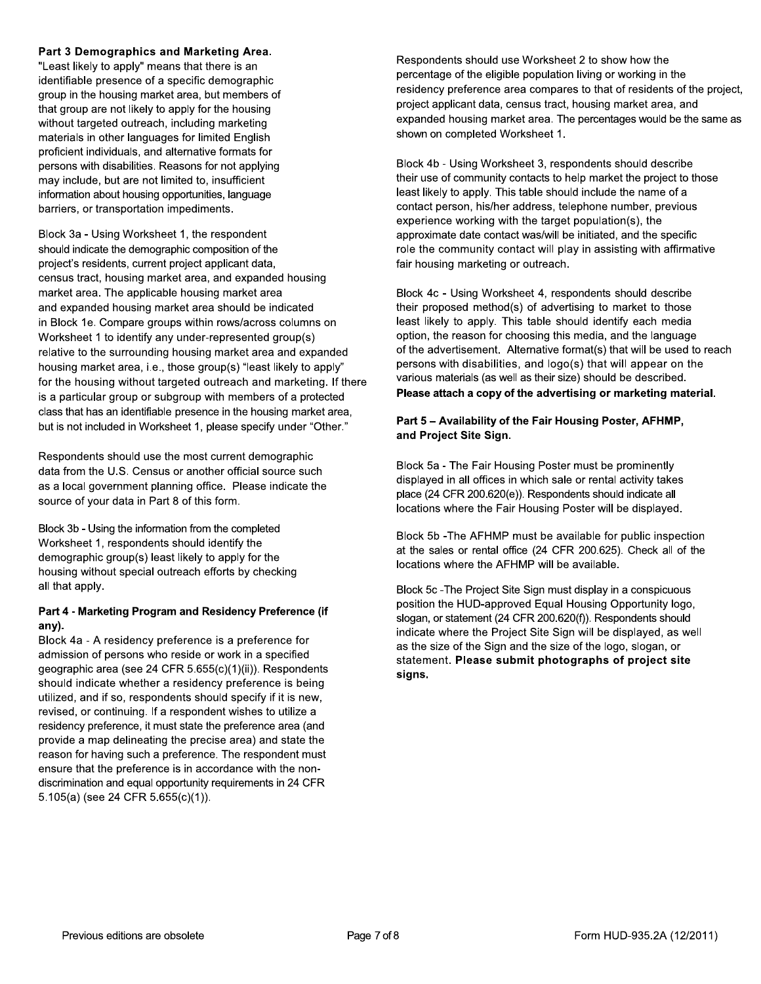#### Part 3 Demographics and Marketing Area.

"Least likely to apply" means that there is an identifiable presence of a specific demographic group in the housing market area, but members of that group are not likely to apply for the housing without targeted outreach, including marketing materials in other languages for limited English proficient individuals, and alternative formats for persons with disabilities. Reasons for not applying may include, but are not limited to, insufficient information about housing opportunities, language barriers, or transportation impediments.

Block 3a - Using Worksheet 1, the respondent should indicate the demographic composition of the project's residents, current project applicant data, census tract, housing market area, and expanded housing market area. The applicable housing market area and expanded housing market area should be indicated in Block 1e. Compare groups within rows/across columns on Worksheet 1 to identify any under-represented group(s) relative to the surrounding housing market area and expanded housing market area, i.e., those group(s) "least likely to apply" for the housing without targeted outreach and marketing. If there is a particular group or subgroup with members of a protected class that has an identifiable presence in the housing market area, but is not included in Worksheet 1, please specify under "Other."

Respondents should use the most current demographic data from the U.S. Census or another official source such as a local government planning office. Please indicate the source of your data in Part 8 of this form.

Block 3b - Using the information from the completed Worksheet 1, respondents should identify the demographic group(s) least likely to apply for the housing without special outreach efforts by checking all that apply.

#### Part 4 - Marketing Program and Residency Preference (if any).

Block 4a - A residency preference is a preference for admission of persons who reside or work in a specified geographic area (see 24 CFR 5.655(c)(1)(ii)). Respondents should indicate whether a residency preference is being utilized, and if so, respondents should specify if it is new, revised, or continuing. If a respondent wishes to utilize a residency preference, it must state the preference area (and provide a map delineating the precise area) and state the reason for having such a preference. The respondent must ensure that the preference is in accordance with the nondiscrimination and equal opportunity requirements in 24 CFR  $5.105(a)$  (see 24 CFR  $5.655(c)(1)$ ).

Respondents should use Worksheet 2 to show how the percentage of the eligible population living or working in the residency preference area compares to that of residents of the project, project applicant data, census tract, housing market area, and expanded housing market area. The percentages would be the same as shown on completed Worksheet 1.

Block 4b - Using Worksheet 3, respondents should describe their use of community contacts to help market the project to those least likely to apply. This table should include the name of a contact person, his/her address, telephone number, previous experience working with the target population(s), the approximate date contact was/will be initiated, and the specific role the community contact will play in assisting with affirmative fair housing marketing or outreach.

Block 4c - Using Worksheet 4, respondents should describe their proposed method(s) of advertising to market to those least likely to apply. This table should identify each media option, the reason for choosing this media, and the language of the advertisement. Alternative format(s) that will be used to reach persons with disabilities, and logo(s) that will appear on the various materials (as well as their size) should be described. Please attach a copy of the advertising or marketing material.

# Part 5 - Availability of the Fair Housing Poster, AFHMP, and Project Site Sign.

Block 5a - The Fair Housing Poster must be prominently displayed in all offices in which sale or rental activity takes place (24 CFR 200.620(e)). Respondents should indicate all locations where the Fair Housing Poster will be displayed.

Block 5b - The AFHMP must be available for public inspection at the sales or rental office (24 CFR 200.625). Check all of the locations where the AFHMP will be available.

Block 5c - The Project Site Sign must display in a conspicuous position the HUD-approved Equal Housing Opportunity logo. slogan, or statement (24 CFR 200.620(f)). Respondents should indicate where the Project Site Sign will be displayed, as well as the size of the Sign and the size of the logo, slogan, or statement. Please submit photographs of project site signs.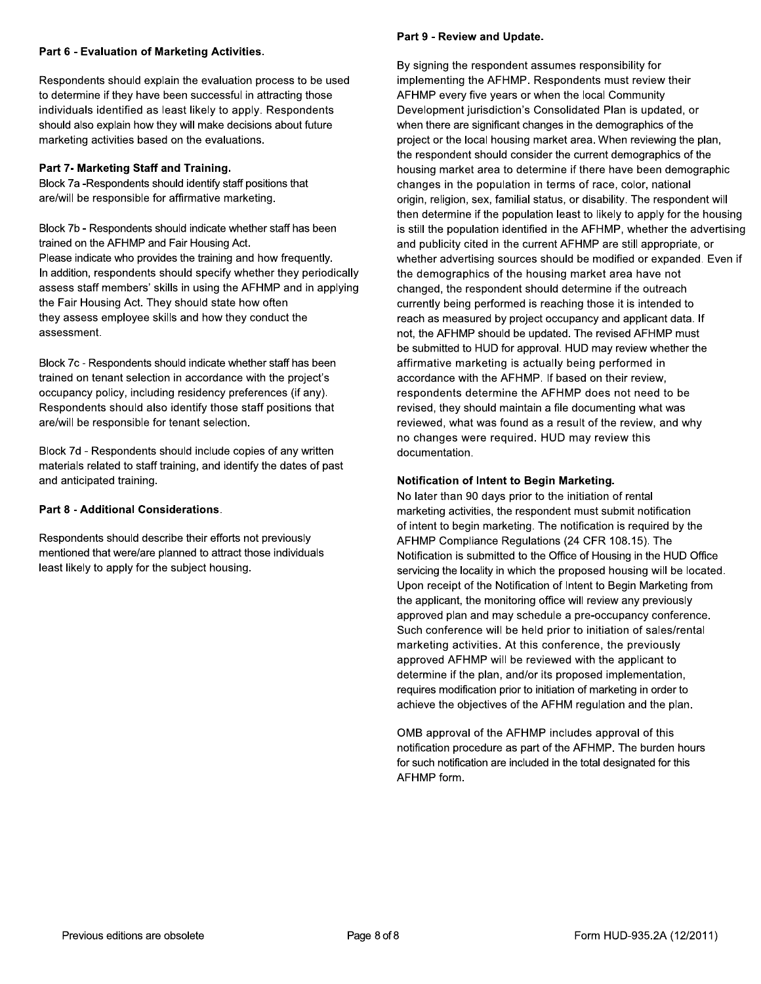## Part 6 - Evaluation of Marketing Activities.

Respondents should explain the evaluation process to be used to determine if they have been successful in attracting those individuals identified as least likely to apply. Respondents should also explain how they will make decisions about future marketing activities based on the evaluations.

# Part 7- Marketing Staff and Training.

Block 7a - Respondents should identify staff positions that are/will be responsible for affirmative marketing.

Block 7b - Respondents should indicate whether staff has been trained on the AFHMP and Fair Housing Act. Please indicate who provides the training and how frequently. In addition, respondents should specify whether they periodically assess staff members' skills in using the AFHMP and in applying the Fair Housing Act. They should state how often they assess employee skills and how they conduct the assessment.

Block 7c - Respondents should indicate whether staff has been trained on tenant selection in accordance with the project's occupancy policy, including residency preferences (if any). Respondents should also identify those staff positions that are/will be responsible for tenant selection.

Block 7d - Respondents should include copies of any written materials related to staff training, and identify the dates of past and anticipated training.

# Part 8 - Additional Considerations.

Respondents should describe their efforts not previously mentioned that were/are planned to attract those individuals least likely to apply for the subject housing.

#### Part 9 - Review and Update.

By signing the respondent assumes responsibility for implementing the AFHMP. Respondents must review their AFHMP every five years or when the local Community Development jurisdiction's Consolidated Plan is updated, or when there are significant changes in the demographics of the project or the local housing market area. When reviewing the plan, the respondent should consider the current demographics of the housing market area to determine if there have been demographic changes in the population in terms of race, color, national origin, religion, sex, familial status, or disability. The respondent will then determine if the population least to likely to apply for the housing is still the population identified in the AFHMP, whether the advertising and publicity cited in the current AFHMP are still appropriate, or whether advertising sources should be modified or expanded. Even if the demographics of the housing market area have not changed, the respondent should determine if the outreach currently being performed is reaching those it is intended to reach as measured by project occupancy and applicant data. If not, the AFHMP should be updated. The revised AFHMP must be submitted to HUD for approval. HUD may review whether the affirmative marketing is actually being performed in accordance with the AFHMP. If based on their review. respondents determine the AFHMP does not need to be revised, they should maintain a file documenting what was reviewed, what was found as a result of the review, and why no changes were required. HUD may review this documentation.

# Notification of Intent to Begin Marketing.

No later than 90 days prior to the initiation of rental marketing activities, the respondent must submit notification of intent to begin marketing. The notification is required by the AFHMP Compliance Regulations (24 CFR 108.15). The Notification is submitted to the Office of Housing in the HUD Office servicing the locality in which the proposed housing will be located. Upon receipt of the Notification of Intent to Begin Marketing from the applicant, the monitoring office will review any previously approved plan and may schedule a pre-occupancy conference. Such conference will be held prior to initiation of sales/rental marketing activities. At this conference, the previously approved AFHMP will be reviewed with the applicant to determine if the plan, and/or its proposed implementation, requires modification prior to initiation of marketing in order to achieve the objectives of the AFHM regulation and the plan.

OMB approval of the AFHMP includes approval of this notification procedure as part of the AFHMP. The burden hours for such notification are included in the total designated for this AFHMP form.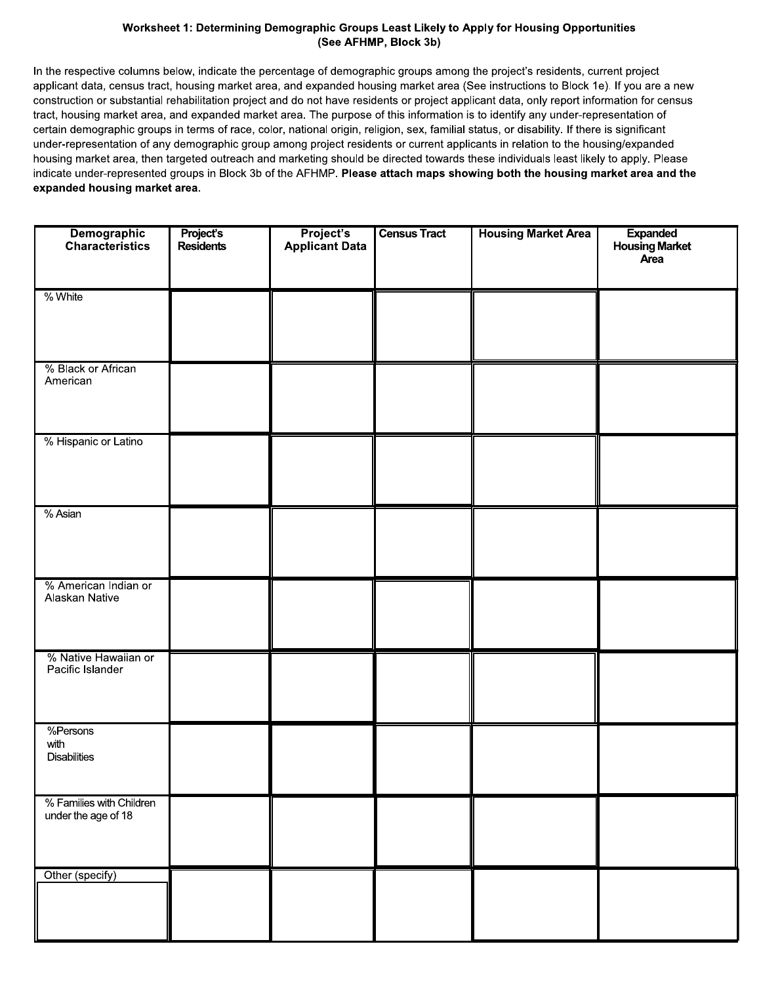# Worksheet 1: Determining Demographic Groups Least Likely to Apply for Housing Opportunities (See AFHMP, Block 3b)

In the respective columns below, indicate the percentage of demographic groups among the project's residents, current project applicant data, census tract, housing market area, and expanded housing market area (See instructions to Block 1e). If you are a new construction or substantial rehabilitation project and do not have residents or project applicant data, only report information for census tract, housing market area, and expanded market area. The purpose of this information is to identify any under-representation of certain demographic groups in terms of race, color, national origin, religion, sex, familial status, or disability. If there is significant under-representation of any demographic group among project residents or current applicants in relation to the housing/expanded housing market area, then targeted outreach and marketing should be directed towards these individuals least likely to apply. Please indicate under-represented groups in Block 3b of the AFHMP. Please attach maps showing both the housing market area and the expanded housing market area.

| Demographic<br>Characteristics                  | <b>Project's</b><br>Residents | Project's<br>Applicant Data | <b>Census Tract</b> | <b>Housing Market Area</b> | <b>Expanded</b><br>Housing Market<br>Area |
|-------------------------------------------------|-------------------------------|-----------------------------|---------------------|----------------------------|-------------------------------------------|
| % White                                         |                               |                             |                     |                            |                                           |
| % Black or African<br>American                  |                               |                             |                     |                            |                                           |
| % Hispanic or Latino                            |                               |                             |                     |                            |                                           |
| % Asian                                         |                               |                             |                     |                            |                                           |
| % American Indian or<br>Alaskan Native          |                               |                             |                     |                            |                                           |
| % Native Hawaiian or<br>Pacific Islander        |                               |                             |                     |                            |                                           |
| %Persons<br>with<br><b>Disabilities</b>         |                               |                             |                     |                            |                                           |
| % Families with Children<br>under the age of 18 |                               |                             |                     |                            |                                           |
| Other (specify)                                 |                               |                             |                     |                            |                                           |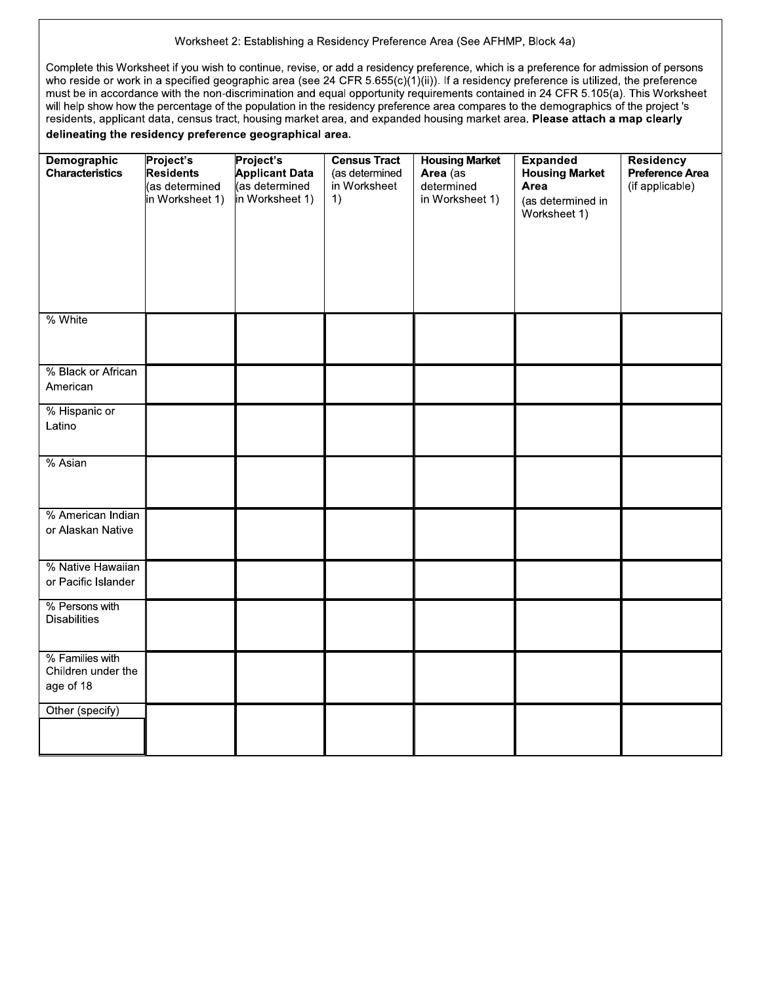#### Worksheet 2: Establishing a Residency Preference Area (See AFHMP, Block 4a)

Complete this Worksheet if you wish to continue, revise, or add a residency preference, which is a preference for admission of persons who reside or work in a specified geographic area (see 24 CFR  $5.655(c)(1)(ii)$ ). If a residency preference is utilized, the preference must be in accordance with the non-discrimination and equal opportunity requirements contained in 24 CFR 5.105(a). This Worksheet will help show how the percentage of the population in the residency preference area compares to the demographics of the project 's residents, applicant data, census tract, housing market area, and expanded housing market area. Please attach a map clearly delineating the residency preference geographical area.

| <b>Demographic</b><br><b>Characteristics</b>       | Project's<br><b>Residents</b><br>(as determined<br>in Worksheet 1) | Project's<br><b>Applicant Data</b><br>(as determined<br>in Worksheet 1) | <b>Census Tract</b><br>(as determined<br>in Worksheet<br>1) | <b>Housing Market</b><br>Area (as<br>determined<br>in Worksheet 1) | <b>Expanded</b><br><b>Housing Market</b><br>Area<br>(as determined in<br>Worksheet 1) | <b>Residency</b><br>Preference Area<br>(if applicable) |
|----------------------------------------------------|--------------------------------------------------------------------|-------------------------------------------------------------------------|-------------------------------------------------------------|--------------------------------------------------------------------|---------------------------------------------------------------------------------------|--------------------------------------------------------|
| % White                                            |                                                                    |                                                                         |                                                             |                                                                    |                                                                                       |                                                        |
| % Black or African<br>American                     |                                                                    |                                                                         |                                                             |                                                                    |                                                                                       |                                                        |
| % Hispanic or<br>Latino                            |                                                                    |                                                                         |                                                             |                                                                    |                                                                                       |                                                        |
| % Asian                                            |                                                                    |                                                                         |                                                             |                                                                    |                                                                                       |                                                        |
| % American Indian<br>or Alaskan Native             |                                                                    |                                                                         |                                                             |                                                                    |                                                                                       |                                                        |
| % Native Hawaiian<br>or Pacific Islander           |                                                                    |                                                                         |                                                             |                                                                    |                                                                                       |                                                        |
| % Persons with<br><b>Disabilities</b>              |                                                                    |                                                                         |                                                             |                                                                    |                                                                                       |                                                        |
| % Families with<br>Children under the<br>age of 18 |                                                                    |                                                                         |                                                             |                                                                    |                                                                                       |                                                        |
| Other (specify)                                    |                                                                    |                                                                         |                                                             |                                                                    |                                                                                       |                                                        |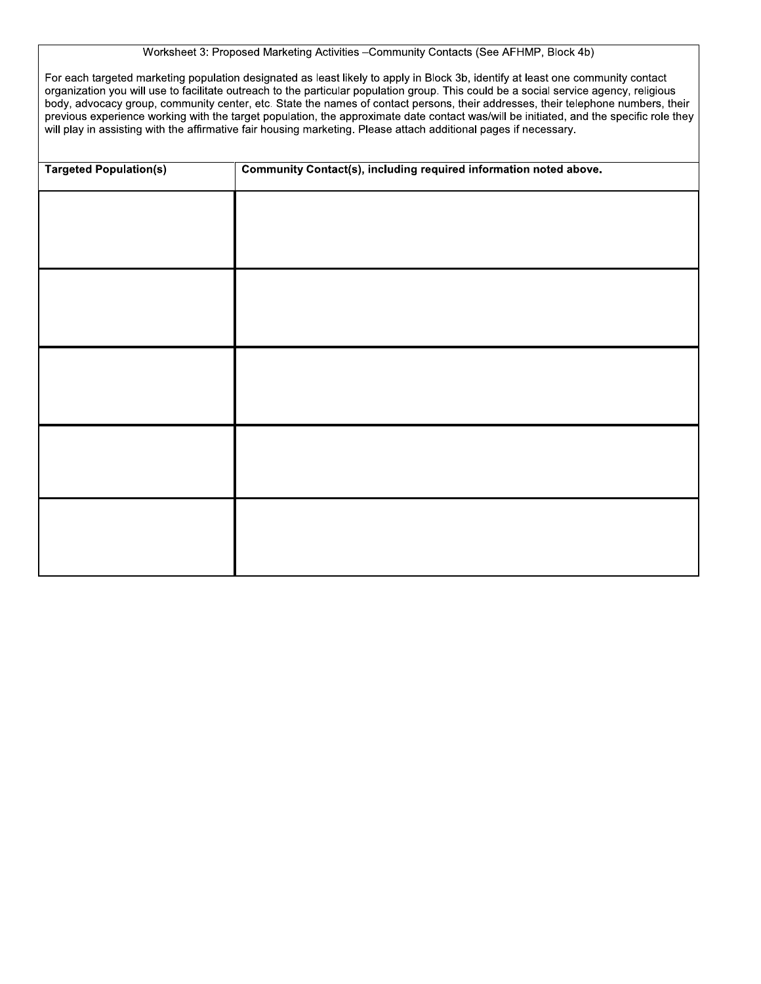# Worksheet 3: Proposed Marketing Activities - Community Contacts (See AFHMP, Block 4b)

For each targeted marketing population designated as least likely to apply in Block 3b, identify at least one community contact organization you will use to facilitate outreach to the particular population group. This could be a social service agency, religious body, advocacy group, community center, etc. State the names of contact persons, their addresses, their telephone numbers, their previous experience working with the target population, the approximate date contact was/will be initiated, and the specific role they will play in assisting with the affirmative fair housing marketing. Please attach additional pages if necessary.

| Community Contact(s), including required information noted above.<br><b>Targeted Population(s)</b> |  |  |  |  |
|----------------------------------------------------------------------------------------------------|--|--|--|--|
|                                                                                                    |  |  |  |  |
|                                                                                                    |  |  |  |  |
|                                                                                                    |  |  |  |  |
|                                                                                                    |  |  |  |  |
|                                                                                                    |  |  |  |  |
|                                                                                                    |  |  |  |  |
|                                                                                                    |  |  |  |  |
|                                                                                                    |  |  |  |  |
|                                                                                                    |  |  |  |  |
|                                                                                                    |  |  |  |  |
|                                                                                                    |  |  |  |  |
|                                                                                                    |  |  |  |  |
|                                                                                                    |  |  |  |  |
|                                                                                                    |  |  |  |  |